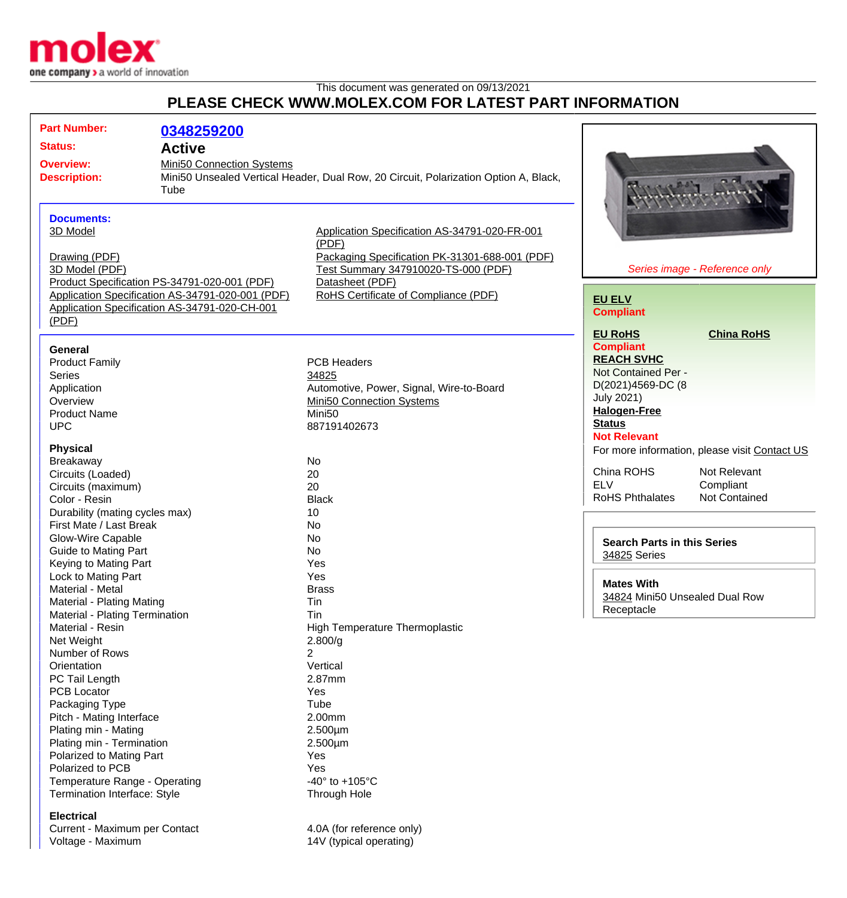

This document was generated on 09/13/2021

## **PLEASE CHECK WWW.MOLEX.COM FOR LATEST PART INFORMATION**

| <b>Part Number:</b>                                | 0348259200                                       |                                                                                      |                                                    |                                               |  |
|----------------------------------------------------|--------------------------------------------------|--------------------------------------------------------------------------------------|----------------------------------------------------|-----------------------------------------------|--|
| <b>Status:</b>                                     |                                                  |                                                                                      |                                                    |                                               |  |
|                                                    | <b>Active</b>                                    |                                                                                      |                                                    |                                               |  |
| <b>Overview:</b>                                   | Mini50 Connection Systems                        |                                                                                      |                                                    |                                               |  |
| <b>Description:</b>                                |                                                  | Mini50 Unsealed Vertical Header, Dual Row, 20 Circuit, Polarization Option A, Black, |                                                    |                                               |  |
|                                                    | Tube                                             |                                                                                      |                                                    |                                               |  |
|                                                    |                                                  |                                                                                      |                                                    |                                               |  |
| <b>Documents:</b>                                  |                                                  |                                                                                      |                                                    |                                               |  |
| 3D Model                                           |                                                  | Application Specification AS-34791-020-FR-001                                        |                                                    |                                               |  |
|                                                    |                                                  | (PDF)                                                                                |                                                    |                                               |  |
| Drawing (PDF)                                      |                                                  | Packaging Specification PK-31301-688-001 (PDF)                                       |                                                    |                                               |  |
| 3D Model (PDF)                                     |                                                  | Test Summary 347910020-TS-000 (PDF)                                                  | Series image - Reference only                      |                                               |  |
|                                                    | Product Specification PS-34791-020-001 (PDF)     | Datasheet (PDF)                                                                      |                                                    |                                               |  |
|                                                    | Application Specification AS-34791-020-001 (PDF) | RoHS Certificate of Compliance (PDF)                                                 | <b>EU ELV</b>                                      |                                               |  |
| Application Specification AS-34791-020-CH-001      |                                                  |                                                                                      | <b>Compliant</b>                                   |                                               |  |
| (PDF)                                              |                                                  |                                                                                      |                                                    |                                               |  |
|                                                    |                                                  |                                                                                      | <b>EU RoHS</b>                                     | <b>China RoHS</b>                             |  |
| <b>General</b>                                     |                                                  |                                                                                      | <b>Compliant</b>                                   |                                               |  |
| <b>Product Family</b>                              |                                                  | <b>PCB Headers</b>                                                                   | <b>REACH SVHC</b>                                  |                                               |  |
| <b>Series</b>                                      |                                                  | 34825                                                                                | Not Contained Per -                                |                                               |  |
| Application                                        |                                                  | Automotive, Power, Signal, Wire-to-Board                                             | D(2021)4569-DC (8                                  |                                               |  |
| Overview                                           |                                                  | Mini50 Connection Systems                                                            | <b>July 2021)</b>                                  |                                               |  |
| <b>Product Name</b>                                |                                                  | Mini <sub>50</sub>                                                                   | <b>Halogen-Free</b>                                |                                               |  |
| <b>UPC</b>                                         |                                                  | 887191402673                                                                         | <b>Status</b>                                      |                                               |  |
|                                                    |                                                  |                                                                                      | <b>Not Relevant</b>                                |                                               |  |
| <b>Physical</b>                                    |                                                  |                                                                                      |                                                    | For more information, please visit Contact US |  |
| Breakaway                                          |                                                  | No                                                                                   | China ROHS                                         | Not Relevant                                  |  |
| Circuits (Loaded)                                  |                                                  | 20                                                                                   | <b>ELV</b>                                         | Compliant                                     |  |
| Circuits (maximum)                                 |                                                  | 20                                                                                   | <b>RoHS Phthalates</b>                             | Not Contained                                 |  |
| Color - Resin                                      |                                                  | <b>Black</b>                                                                         |                                                    |                                               |  |
| Durability (mating cycles max)                     |                                                  | 10                                                                                   |                                                    |                                               |  |
| First Mate / Last Break                            |                                                  | No                                                                                   |                                                    |                                               |  |
| Glow-Wire Capable                                  |                                                  | No                                                                                   | <b>Search Parts in this Series</b><br>34825 Series |                                               |  |
| Guide to Mating Part                               |                                                  | No                                                                                   |                                                    |                                               |  |
| Keying to Mating Part                              |                                                  | Yes                                                                                  |                                                    |                                               |  |
| Lock to Mating Part                                |                                                  | Yes                                                                                  | <b>Mates With</b>                                  |                                               |  |
| Material - Metal                                   |                                                  | <b>Brass</b>                                                                         | 34824 Mini50 Unsealed Dual Row<br>Receptacle       |                                               |  |
| Material - Plating Mating                          |                                                  | Tin<br>Tin                                                                           |                                                    |                                               |  |
| Material - Plating Termination<br>Material - Resin |                                                  | <b>High Temperature Thermoplastic</b>                                                |                                                    |                                               |  |
| Net Weight                                         |                                                  | 2.800/g                                                                              |                                                    |                                               |  |
| Number of Rows                                     |                                                  | $\overline{2}$                                                                       |                                                    |                                               |  |
| Orientation                                        |                                                  | Vertical                                                                             |                                                    |                                               |  |
| PC Tail Length                                     |                                                  | 2.87mm                                                                               |                                                    |                                               |  |
| <b>PCB Locator</b>                                 |                                                  | Yes                                                                                  |                                                    |                                               |  |
| Packaging Type                                     |                                                  | Tube                                                                                 |                                                    |                                               |  |
| Pitch - Mating Interface                           |                                                  | 2.00mm                                                                               |                                                    |                                               |  |
| Plating min - Mating                               |                                                  | $2.500 \mu m$                                                                        |                                                    |                                               |  |
| Plating min - Termination                          |                                                  | $2.500 \mu m$                                                                        |                                                    |                                               |  |
| Polarized to Mating Part                           |                                                  | Yes                                                                                  |                                                    |                                               |  |
| Polarized to PCB                                   |                                                  | Yes                                                                                  |                                                    |                                               |  |
| Temperature Range - Operating                      |                                                  | -40 $\degree$ to +105 $\degree$ C                                                    |                                                    |                                               |  |
| <b>Termination Interface: Style</b>                |                                                  | Through Hole                                                                         |                                                    |                                               |  |
| <b>Electrical</b>                                  |                                                  |                                                                                      |                                                    |                                               |  |

Current - Maximum per Contact 4.0A (for reference only) Voltage - Maximum 14V (typical operating)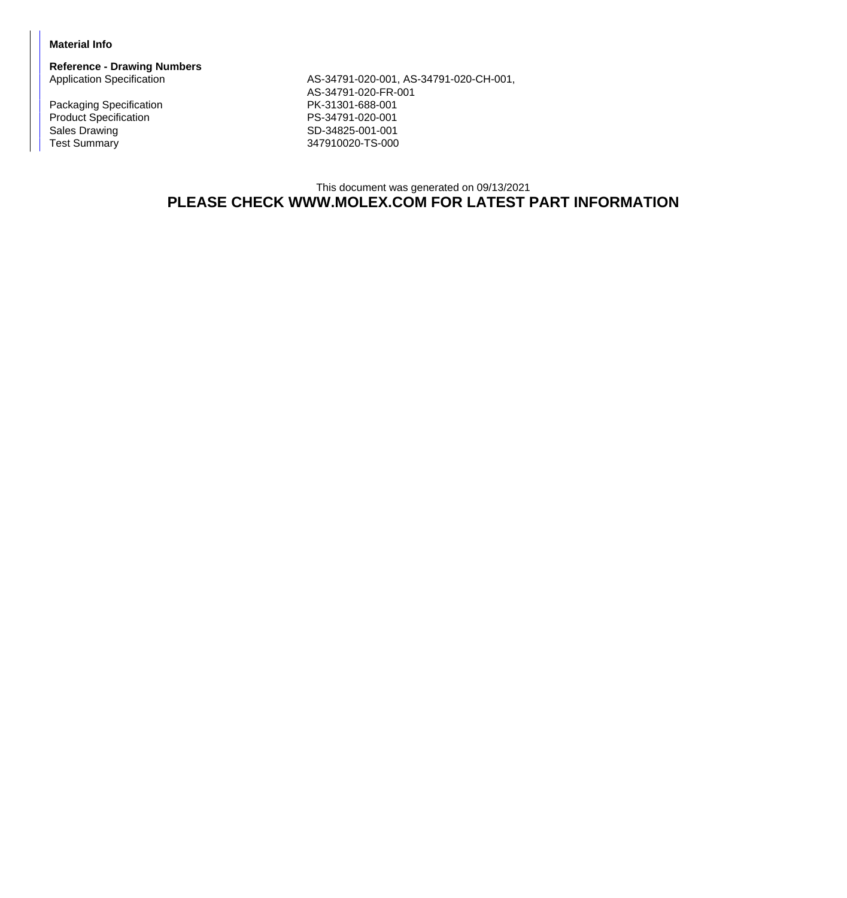## **Material Info**

**Reference - Drawing Numbers**

Packaging Specification **PK-31301-688-001** Product Specification<br>
Sales Drawing<br>
Sales Drawing<br>
PS-34825-001-001 Sales Drawing Sales Drawing SD-34825-001-001<br>Test Summary SD-34825-001-001

AS-34791-020-001, AS-34791-020-CH-001, AS-34791-020-FR-001 347910020-TS-000

## This document was generated on 09/13/2021 **PLEASE CHECK WWW.MOLEX.COM FOR LATEST PART INFORMATION**